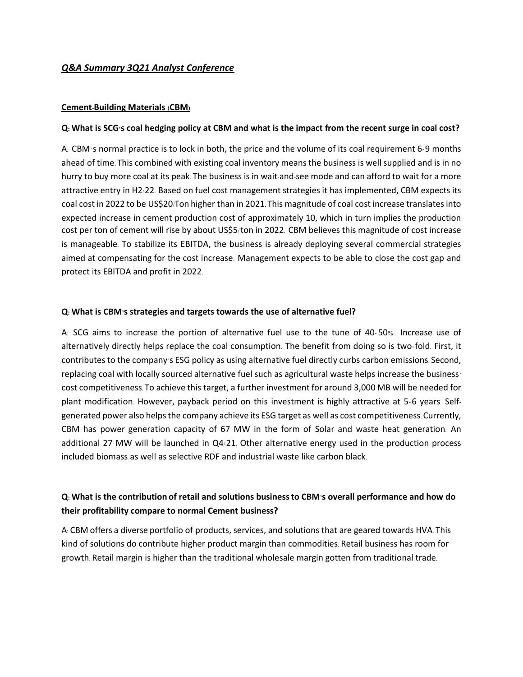## *Q&A Summary 3Q21 Analyst Conference*

### **Cement-Building Materials (CBM)**

### **Q: What is SCG's coal hedging policy at CBM and what is the impact from the recent surge in coal cost?**

A: CBM's normal practice is to lock in both, the price and the volume of its coal requirement 6-9 months ahead of time. This combined with existing coal inventory means the business is well supplied and is in no hurry to buy more coal at its peak. The business is in wait-and-see mode and can afford to wait for a more attractive entry in H2/22. Based on fuel cost management strategies it has implemented, CBM expects its coal cost in 2022 to be US\$20/Ton higher than in 2021. This magnitude of coal cost increase translates into expected increase in cement production cost of approximately 10, which in turn implies the production cost per ton of cement will rise by about US\$5/ton in 2022. CBM believes this magnitude of cost increase is manageable. To stabilize its EBITDA, the business is already deploying several commercial strategies aimed at compensating for the cost increase. Management expects to be able to close the cost gap and protect its EBITDA and profit in 2022.

### **Q: What is CBM's strategies and targets towards the use of alternative fuel?**

A: SCG aims to increase the portion of alternative fuel use to the tune of 40- 50% . Increase use of alternatively directly helps replace the coal consumption. The benefit from doing so is two-fold. First, it contributes to the company's ESG policy as using alternative fuel directly curbs carbon emissions. Second, replacing coal with locally sourced alternative fuel such as agricultural waste helps increase the business' cost competitiveness. To achieve this target, a further investment for around 3,000 MB will be needed for plant modification. However, payback period on this investment is highly attractive at 5-6 years. Selfgenerated power also helps the company achieve its ESG target as well as cost competitiveness. Currently, CBM has power generation capacity of 67 MW in the form of Solar and waste heat generation. An additional 27 MW will be launched in Q4/21. Other alternative energy used in the production process included biomass as well as selective RDF and industrial waste like carbon black.

## **Q: What is the contribution of retail and solutions businessto CBM's overall performance and how do their profitability compare to normal Cement business?**

A: CBM offers a diverse portfolio of products, services, and solutions that are geared towards HVA. This kind of solutions do contribute higher product margin than commodities. Retail business has room for growth. Retail margin is higher than the traditional wholesale margin gotten from traditional trade.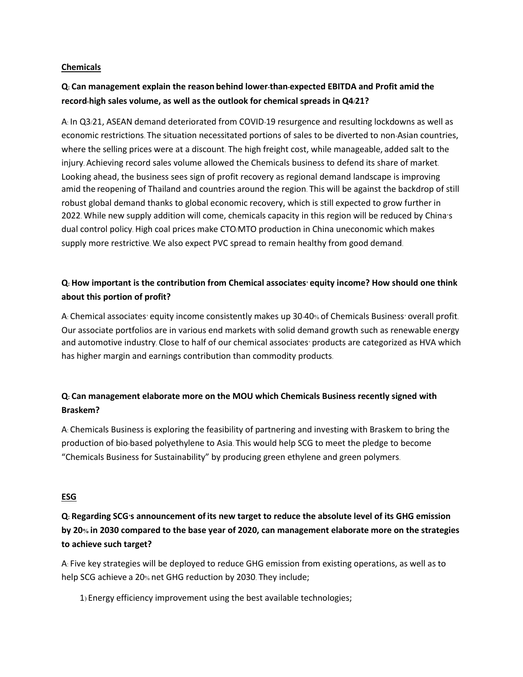### **Chemicals**

# **Q: Can management explain the reason behind lower-than-expected EBITDA and Profit amid the record-high sales volume, as well as the outlook for chemical spreads in Q4/21?**

A: In Q3/21, ASEAN demand deteriorated from COVID-19 resurgence and resulting lockdowns as well as economic restrictions. The situation necessitated portions of sales to be diverted to non-Asian countries, where the selling prices were at a discount. The high freight cost, while manageable, added salt to the injury. Achieving record sales volume allowed the Chemicals business to defend its share of market. Looking ahead, the business sees sign of profit recovery as regional demand landscape is improving amid the reopening of Thailand and countries around the region. This will be against the backdrop of still robust global demand thanks to global economic recovery, which is still expected to grow further in 2022. While new supply addition will come, chemicals capacity in this region will be reduced by China's dual control policy. High coal prices make CTO/MTO production in China uneconomic which makes supply more restrictive. We also expect PVC spread to remain healthy from good demand.

# **Q: How important is the contribution from Chemical associates' equity income? How should one think about this portion of profit?**

A: Chemical associates' equity income consistently makes up 30-40% of Chemicals Business' overall profit. Our associate portfolios are in various end markets with solid demand growth such as renewable energy and automotive industry. Close to half of our chemical associates' products are categorized as HVA which has higher margin and earnings contribution than commodity products.

# **Q: Can management elaborate more on the MOU which Chemicals Business recently signed with Braskem?**

A: Chemicals Business is exploring the feasibility of partnering and investing with Braskem to bring the production of bio-based polyethylene to Asia. This would help SCG to meet the pledge to become "Chemicals Business for Sustainability" by producing green ethylene and green polymers.

### **ESG**

**Q: Regarding SCG's announcement of its new target to reduce the absolute level of its GHG emission by 20% in 2030 compared to the base year of 2020, can management elaborate more on the strategies to achieve such target?**

A: Five key strategies will be deployed to reduce GHG emission from existing operations, as well as to help SCG achieve a 20% net GHG reduction by 2030. They include;

1) Energy efficiency improvement using the best available technologies;